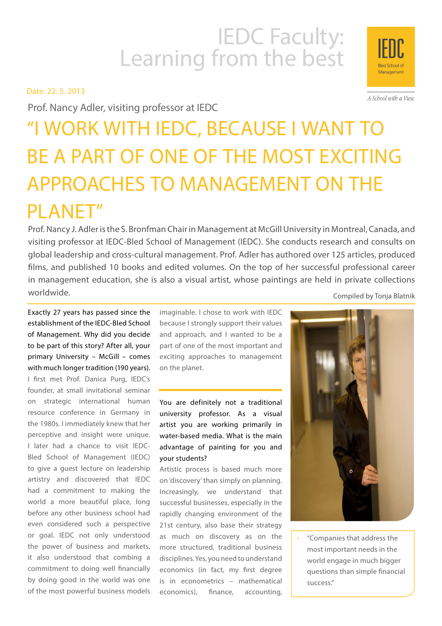# IEDC Faculty:<br>Learning from the best

Date: 22. 5. 2013

Prof. Nancy Adler, visiting professor at IEDC

# "I WORK WITH IEDC, BECAUSE I WANT TO BE A PART OF ONE OF THE MOST EXCITING APPROACHES TO MANAGEMENT ON THE PLANET"

Prof. Nancy J. Adler is the S. Bronfman Chair in Management at McGill University in Montreal, Canada, and visiting professor at IEDC-Bled School of Management (IEDC). She conducts research and consults on global leadership and cross-cultural management. Prof. Adler has authored over 125 articles, produced films, and published 10 books and edited volumes. On the top of her successful professional career in management education, she is also a visual artist, whose paintings are held in private collections worldwide. Compiled by Tonja Blatnik

Exactly 27 years has passed since the establishment of the IEDC-Bled School of Management. Why did you decide to be part of this story? After all, your primary University – McGill – comes with much longer tradition (190 years). I first met Prof. Danica Purg, IEDC's founder, at small invitational seminar on strategic international human resource conference in Germany in the 1980s. I immediately knew that her perceptive and insight were unique. I later had a chance to visit IEDC-Bled School of Management (IEDC) to give a guest lecture on leadership artistry and discovered that IEDC had a commitment to making the world a more beautiful place, long before any other business school had even considered such a perspective or goal. IEDC not only understood the power of business and markets, it also understood that combing a commitment to doing well financially by doing good in the world was one of the most powerful business models

imaginable. I chose to work with IEDC because I strongly support their values and approach, and I wanted to be a part of one of the most important and exciting approaches to management on the planet.

You are definitely not a traditional university professor. As a visual artist you are working primarily in water-based media. What is the main advantage of painting for you and your students?

Artistic process is based much more on 'discovery' than simply on planning. Increasingly, we understand that successful businesses, especially in the rapidly changing environment of the 21st century, also base their strategy as much on discovery as on the more structured, traditional business disciplines. Yes, you need to understand economics (in fact, my first degree is in econometrics – mathematical economics), finance, accounting,



"Companies that address the most important needs in the world engage in much bigger questions than simple financial success."



A School with a View